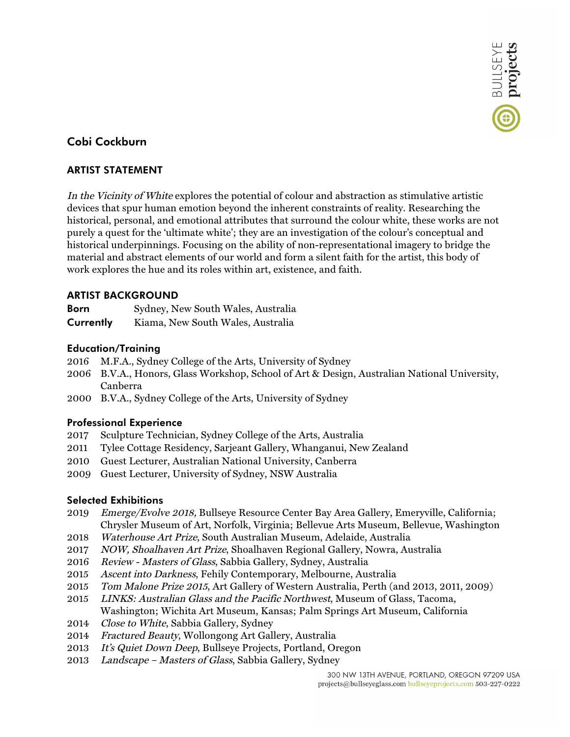

# **Cobi Cockburn**

## **ARTIST STATEMENT**

In the Vicinity of White explores the potential of colour and abstraction as stimulative artistic devices that spur human emotion beyond the inherent constraints of reality. Researching the historical, personal, and emotional attributes that surround the colour white, these works are not purely a quest for the 'ultimate white'; they are an investigation of the colour's conceptual and historical underpinnings. Focusing on the ability of non-representational imagery to bridge the material and abstract elements of our world and form a silent faith for the artist, this body of work explores the hue and its roles within art, existence, and faith.

## **ARTIST BACKGROUND**

| <b>Born</b> | Sydney, New South Wales, Australia |
|-------------|------------------------------------|
| Currently   | Kiama, New South Wales, Australia  |

## **Education/Training**

- 2016 M.F.A., Sydney College of the Arts, University of Sydney
- 2006 B.V.A., Honors, Glass Workshop, School of Art & Design, Australian National University, Canberra
- 2000 B.V.A., Sydney College of the Arts, University of Sydney

### **Professional Experience**

- 2017 Sculpture Technician, Sydney College of the Arts, Australia
- 2011 Tylee Cottage Residency, Sarjeant Gallery, Whanganui, New Zealand
- 2010 Guest Lecturer, Australian National University, Canberra
- 2009 Guest Lecturer, University of Sydney, NSW Australia

### **Selected Exhibitions**

- 2019 Emerge/Evolve 2018, Bullseye Resource Center Bay Area Gallery, Emeryville, California; Chrysler Museum of Art, Norfolk, Virginia; Bellevue Arts Museum, Bellevue, Washington
- 2018 Waterhouse Art Prize, South Australian Museum, Adelaide, Australia
- 2017 NOW, Shoalhaven Art Prize, Shoalhaven Regional Gallery, Nowra, Australia
- 2016 Review Masters of Glass, Sabbia Gallery, Sydney, Australia
- 2015 Ascent into Darkness, Fehily Contemporary, Melbourne, Australia
- 2015 Tom Malone Prize 2015, Art Gallery of Western Australia, Perth (and 2013, 2011, 2009)
- 2015 LINKS: Australian Glass and the Pacific Northwest, Museum of Glass, Tacoma, Washington; Wichita Art Museum, Kansas; Palm Springs Art Museum, California
- 2014 Close to White, Sabbia Gallery, Sydney
- 2014 Fractured Beauty, Wollongong Art Gallery, Australia
- 2013 It's Quiet Down Deep, Bullseye Projects, Portland, Oregon
- 2013 Landscape Masters of Glass, Sabbia Gallery, Sydney